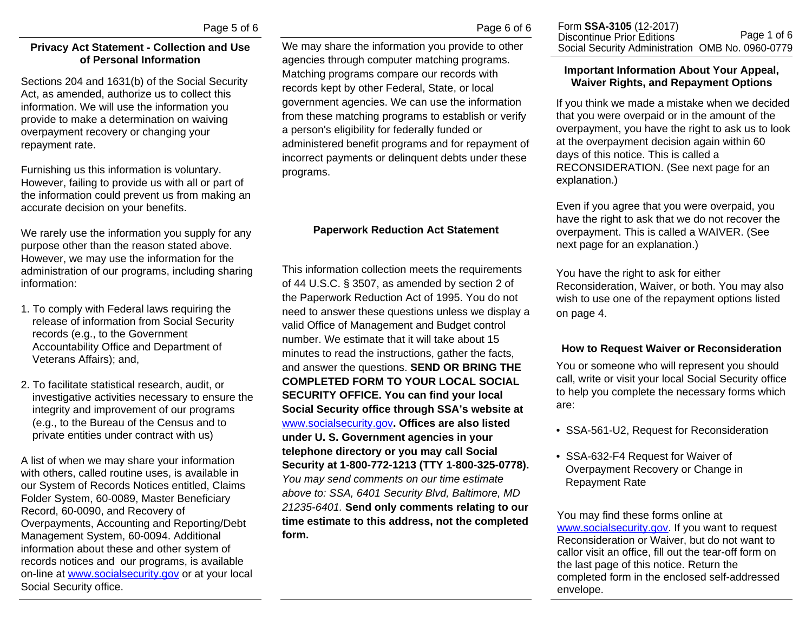## **Privacy Act Statement - Collection and Use of Personal Information**

Sections 204 and 1631(b) of the Social Security Act, as amended, authorize us to collect this information. We will use the information you provide to make a determination on waiving overpayment recovery or changing your repayment rate.

Furnishing us this information is voluntary. However, failing to provide us with all or part of the information could prevent us from making an accurate decision on your benefits.

We rarely use the information you supply for any purpose other than the reason stated above. However, we may use the information for the administration of our programs, including sharing information:

- 1. To comply with Federal laws requiring the release of information from Social Security records (e.g., to the Government Accountability Office and Department of Veterans Affairs); and,
- 2. To facilitate statistical research, audit, or investigative activities necessary to ensure the integrity and improvement of our programs (e.g., to the Bureau of the Census and to private entities under contract with us)

A list of when we may share your information with others, called routine uses, is available in our System of Records Notices entitled, Claims Folder System, 60-0089, Master Beneficiary Record, 60-0090, and Recovery of Overpayments, Accounting and Reporting/Debt Management System, 60-0094. Additional information about these and other system of records notices and our programs, is available on-line at<www.socialsecurity.gov>or at your local Social Security office.

We may share the information you provide to other agencies through computer matching programs. Matching programs compare our records with records kept by other Federal, State, or local government agencies. We can use the information from these matching programs to establish or verify a person's eligibility for federally funded or administered benefit programs and for repayment of incorrect payments or delinquent debts under these programs.

### **Paperwork Reduction Act Statement**

This information collection meets the requirements of 44 U.S.C. § 3507, as amended by section 2 of the Paperwork Reduction Act of 1995. You do not need to answer these questions unless we display a valid Office of Management and Budget control number. We estimate that it will take about 15 minutes to read the instructions, gather the facts, and answer the questions. **SEND OR BRING THE COMPLETED FORM TO YOUR LOCAL SOCIAL SECURITY OFFICE. You can find your local Social Security office through SSA's website at**  <www.socialsecurity.gov>**. Offices are also listed under U. S. Government agencies in your telephone directory or you may call Social Security at 1-800-772-1213 (TTY 1-800-325-0778).** *You may send comments on our time estimate above to: SSA, 6401 Security Blvd, Baltimore, MD 21235-6401.* **Send only comments relating to our time estimate to this address, not the completed form.**

## **Important Information About Your Appeal, Waiver Rights, and Repayment Options**

If you think we made a mistake when we decided that you were overpaid or in the amount of the overpayment, you have the right to ask us to look at the overpayment decision again within 60 days of this notice. This is called a RECONSIDERATION. (See next page for an explanation.)

Even if you agree that you were overpaid, you have the right to ask that we do not recover the overpayment. This is called a WAIVER. (See next page for an explanation.)

You have the right to ask for either Reconsideration, Waiver, or both. You may also wish to use one of the repayment options listed on page 4.

# **How to Request Waiver or Reconsideration**

You or someone who will represent you should call, write or visit your local Social Security office to help you complete the necessary forms which are:

- SSA-561-U2, Request for Reconsideration
- SSA-632-F4 Request for Waiver of Overpayment Recovery or Change in Repayment Rate

You may find these forms online at <www.socialsecurity.gov>. If you want to request Reconsideration or Waiver, but do not want to callor visit an office, fill out the tear-off form on the last page of this notice. Return the completed form in the enclosed self-addressed envelope.